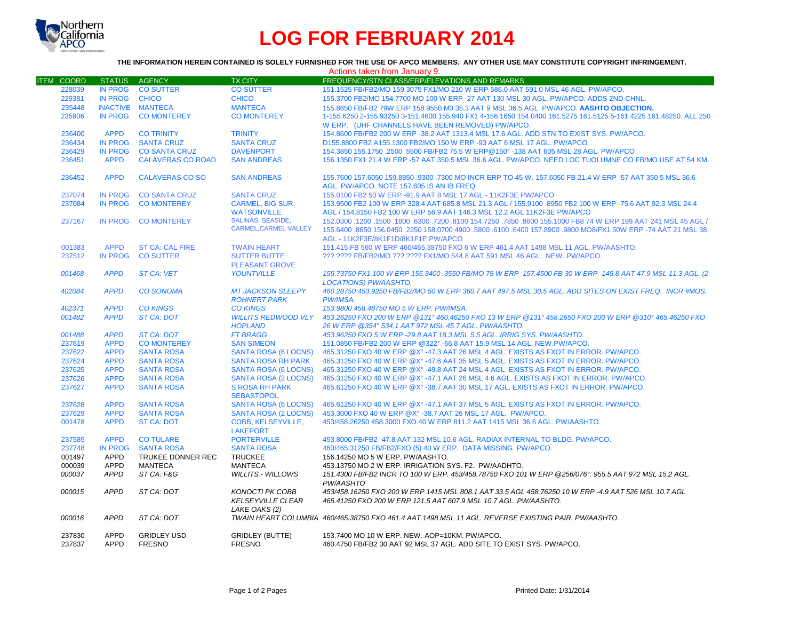

# **LOG FOR FEBRUARY 2014**

## **THE INFORMATION HEREIN CONTAINED IS SOLELY FURNISHED FOR THE USE OF APCO MEMBERS. ANY OTHER USE MAY CONSTITUTE COPYRIGHT INFRINGEMENT.**

|                   |                |                          |                                                     | Actions taken from January 9.                                                                                                                                            |
|-------------------|----------------|--------------------------|-----------------------------------------------------|--------------------------------------------------------------------------------------------------------------------------------------------------------------------------|
| <b>ITEM COORD</b> | <b>STATUS</b>  | <b>AGENCY</b>            | <b>TX CITY</b>                                      | FREQUENCY/STN CLASS/ERP/ELEVATIONS AND REMARKS                                                                                                                           |
| 228039            | <b>IN PROG</b> | <b>CO SUTTER</b>         | <b>CO SUTTER</b>                                    | 151.1525 FB/FB2/MO 159.3075 FX1/MO 210 W ERP 586.0 AAT 591.0 MSL 46 AGL. PW/APCO.                                                                                        |
| 229381            | <b>IN PROG</b> | <b>CHICO</b>             | <b>CHICO</b>                                        | 155,3700 FB2/MO 154,7700 MO 100 W ERP -27 AAT 130 MSL 30 AGL. PW/APCO, ADDS 2ND CHNL.                                                                                    |
| 235448            |                | INACTIVE MANTECA         | <b>MANTECA</b>                                      | 155.8650 FB/FB2 79W ERP 158.9550 M0 35.3 AAT 9 MSL 36.5 AGL PW/APCO. AASHTO OBJECTION.                                                                                   |
| 235906            | <b>IN PROG</b> | <b>CO MONTEREY</b>       | <b>CO MONTEREY</b>                                  | 1-155.6250 2-155.93250 3-151.4600 155.940 FX1 4-156.1650 154.0400 161.5275 161.5125 5-161.4225 161.48250. ALL 250                                                        |
|                   |                |                          |                                                     | W ERP. (UHF CHANNELS HAVE BEEN REMOVED) PW/APCO.                                                                                                                         |
| 236400            | <b>APPD</b>    | <b>CO TRINITY</b>        | <b>TRINITY</b>                                      | 154,8600 FB/FB2 200 W ERP -38.2 AAT 1313.4 MSL 17.6 AGL, ADD STN TO EXIST SYS, PW/APCO,                                                                                  |
| 236434            | <b>IN PROG</b> | <b>SANTA CRUZ</b>        | <b>SANTA CRUZ</b>                                   | D155,8800 FB2 A155,1300 FB2/MO 150 W ERP -93 AAT 6 MSL 17 AGL, PW/APCO                                                                                                   |
| 236429            | <b>IN PROG</b> | <b>CO SANTA CRUZ</b>     | <b>DAVENPORT</b>                                    | 154.3850 155.1750 .2500 .5500 FB/FB2 75.5 W ERP@150° -138 AAT 605 MSL 28 AGL. PW/APCO                                                                                    |
| 236451            | <b>APPD</b>    | <b>CALAVERAS CO ROAD</b> | <b>SAN ANDREAS</b>                                  | 156.1350 FX1 21.4 W ERP -57 AAT 350.5 MSL 36.6 AGL. PW/APCO. NEED LOC TUOLUMNE CO FB/MO USE AT 54 KM.                                                                    |
|                   |                |                          |                                                     |                                                                                                                                                                          |
| 236452            | <b>APPD</b>    | <b>CALAVERAS CO SO</b>   | <b>SAN ANDREAS</b>                                  | 155,7600 157,6050 159,8850 .9300 .7300 MO INCR ERP TO 45 W, 157,6050 FB 21.4 W ERP -57 AAT 350.5 MSL 36.6                                                                |
|                   |                |                          |                                                     | AGL. PW/APCO. NOTE 157.605 IS AN IB FREQ                                                                                                                                 |
| 237074            | <b>IN PROG</b> | <b>CO SANTA CRUZ</b>     | <b>SANTA CRUZ</b>                                   | 155.0100 FB2 50 W ERP -91.9 AAT 8 MSL 17 AGL - 11K2F3E PW/APCO                                                                                                           |
| 237084            | <b>IN PROG</b> | <b>CO MONTEREY</b>       | <b>CARMEL, BIG SUR,</b>                             | 153.9500 FB2 100 W ERP 328.4 AAT 685.8 MSL 21.3 AGL / 155.9100 .8950 FB2 100 W ERP -75.6 AAT 92.3 MSL 24.4                                                               |
|                   |                |                          | <b>WATSONVILLE</b>                                  | AGL / 154.8150 FB2 100 W ERP 56.9 AAT 146.3 MSL 12.2 AGL 11K2F3E PW/APCO                                                                                                 |
| 237167            | <b>IN PROG</b> | <b>CO MONTEREY</b>       | <b>SALINAS, SEASIDE.</b>                            | 150. 45 AGL (150.0300 .1200 .1500 .6300 .7200 .8100 154.7250 .7850 .8600 155.1000 FB8 74 W ERP 199 AAT 241 MSL                                                           |
|                   |                |                          | <b>CARMEL, CARMEL VALLEY</b>                        | 155,6400 .8650 156,0450 .2250 158,0700 4900 .5800 .6100 .6400 157,8900 .9800 MO8/FX1 50W ERP -74 AAT 21 MSL 38                                                           |
|                   |                |                          |                                                     | AGL - 11K2F3E/8K1F1D/8K1F1E PW/APCO                                                                                                                                      |
| 001383            | <b>APPD</b>    | <b>ST CA: CAL FIRE</b>   | <b>TWAIN HEART</b>                                  | 151.415 FB 560 W ERP 460/465.38750 FXO 6 W ERP 461.4 AAT 1498 MSL 11 AGL, PW/AASHTO.                                                                                     |
| 237512            | <b>IN PROG</b> | <b>CO SUTTER</b>         | <b>SUTTER BUTTE</b>                                 | ???.???? FB/FB2/MO ???.???? FX1/MO 544.8 AAT 591 MSL 46 AGL. NEW. PW/APCO.                                                                                               |
|                   |                |                          | <b>PLEASANT GROVE</b>                               |                                                                                                                                                                          |
| 001468            | <b>APPD</b>    | <b>ST CA: VET</b>        | <b>YOUNTVILLE</b>                                   | 155.73750 FX1 100 W ERP 155.3400 .3550 FB/MO 75 W ERP 157.4500 FB 30 W ERP -145.8 AAT 47.9 MSL 11.3 AGL. (2                                                              |
|                   |                |                          |                                                     | <b>LOCATIONS) PW/AASHTO.</b>                                                                                                                                             |
| 402084            | <b>APPD</b>    | <b>CO SONOMA</b>         | <b>MT JACKSON SLEEPY</b>                            | 460.28750 453.9250 FB/FB2/MO 50 W ERP 360.7 AAT 497.5 MSL 30.5 AGL. ADD SITES ON EXIST FREQ. INCR #MOS.                                                                  |
|                   |                |                          | <b>ROHNERT PARK</b>                                 | PW/IMSA.                                                                                                                                                                 |
| 402371            | <b>APPD</b>    | <b>CO KINGS</b>          | <b>CO KINGS</b>                                     | 153.9800 458.48750 MO 5 W ERP. PW/IMSA.                                                                                                                                  |
| 001482            | <b>APPD</b>    | <b>ST CA: DOT</b>        | <b>WILLITS REDWOOD VLY</b>                          | 453,26250 FXO 200 W ERP @131° 460,46250 FXO 13 W ERP @131° 458,2650 FXO 200 W ERP @310° 465,46250 FXO                                                                    |
|                   |                |                          | <b>HOPLAND</b>                                      | 26 W ERP @354° 534 1 AAT 972 MSL 45 7 AGL, PW/AASHTO.                                                                                                                    |
| 001488            | <b>APPD</b>    | <b>ST CA: DOT</b>        | <b>FT BRAGG</b>                                     | 453.96250 FXO 5 W ERP -29.8 AAT 18.3 MSL 5.5 AGL. IRRIG SYS. PW/AASHTO.                                                                                                  |
| 237619            | <b>APPD</b>    | <b>CO MONTEREY</b>       | <b>SAN SIMEON</b>                                   | 151.0850 FB/FB2 200 W ERP @322° -66.8 AAT 15.9 MSL 14 AGL. NEW.PW/APCO.                                                                                                  |
| 237622            | <b>APPD</b>    | <b>SANTA ROSA</b>        | <b>SANTA ROSA (6 LOCNS)</b>                         | 465.31250 FXO 40 W ERP @X° -47.3 AAT 26 MSL 4 AGL. EXISTS AS FXOT IN ERROR. PW/APCO.                                                                                     |
| 237624            | <b>APPD</b>    | <b>SANTA ROSA</b>        | <b>SANTA ROSA RH PARK</b>                           | 465,31250 FXO 40 W ERP @X° -47.6 AAT 35 MSL 5 AGL. EXISTS AS FXOT IN ERROR, PW/APCO.                                                                                     |
|                   | <b>APPD</b>    | <b>SANTA ROSA</b>        |                                                     | 465.31250 FXO 40 W ERP @X° -49.8 AAT 24 MSL 4 AGL. EXISTS AS FXOT IN ERROR. PW/APCO.                                                                                     |
| 237625<br>237626  | <b>APPD</b>    | <b>SANTA ROSA</b>        | <b>SANTA ROSA (6 LOCNS)</b><br>SANTA ROSA (2 LOCNS) | 465.31250 FXO 40 W ERP @X° -47.1 AAT 26 MSL 4.6 AGL. EXISTS AS FXOT IN ERROR. PW/APCO.                                                                                   |
|                   | <b>APPD</b>    |                          | <b>S ROSA RH PARK</b>                               | 465,61250 FXO 40 W ERP @ X° -38.7 AAT 30 MSL 17 AGL. EXISTS AS FXOT IN ERROR, PW/APCO,                                                                                   |
| 237627            |                | <b>SANTA ROSA</b>        | <b>SEBASTOPOL</b>                                   |                                                                                                                                                                          |
|                   |                |                          |                                                     |                                                                                                                                                                          |
| 237628            | <b>APPD</b>    | <b>SANTA ROSA</b>        | <b>SANTA ROSA (6 LOCNS)</b>                         | 465,61250 FXO 40 W ERP @X° -47.1 AAT 37 MSL 5 AGL. EXISTS AS FXOT IN ERROR, PW/APCO,                                                                                     |
| 237629            | <b>APPD</b>    | <b>SANTA ROSA</b>        | SANTA ROSA (2 LOCNS)                                | 453.3000 FXO 40 W ERP @X° -38.7 AAT 26 MSL 17 AGL. PW/APCO.                                                                                                              |
| 001478            | <b>APPD</b>    | <b>ST CA: DOT</b>        | <b>COBB. KELSEYVILLE.</b>                           | 453/458.26250 458.3000 FXO 40 W ERP 811.2 AAT 1415 MSL 36.6 AGL. PW/AASHTO.                                                                                              |
|                   |                |                          | <b>LAKEPORT</b>                                     |                                                                                                                                                                          |
| 237585            | <b>APPD</b>    | <b>CO TULARE</b>         | <b>PORTERVILLE</b>                                  | 453,8000 FB/FB2 -47.8 AAT 132 MSL 10.6 AGL, RADIAX INTERNAL TO BLDG, PW/APCO.                                                                                            |
| 237748            | <b>IN PROG</b> | <b>SANTA ROSA</b>        | <b>SANTA ROSA</b>                                   | 460/465.31250 FB/FB2/FXO (5) 40 W ERP. DATA MISSING. PW/APCO.                                                                                                            |
| 001497            | <b>APPD</b>    | TRUKEE DONNER REC        | <b>TRUCKEE</b>                                      | 156.14250 MO 5 W ERP. PW/AASHTO.                                                                                                                                         |
| 000039            | <b>APPD</b>    | <b>MANTECA</b>           | <b>MANTECA</b>                                      | 453.13750 MO 2 W ERP. IRRIGATION SYS. F2. PW/AADHTO.                                                                                                                     |
| 000037            | <b>APPD</b>    | ST CA: F&G               | <b>WILLITS - WILLOWS</b>                            | 151.4300 FB/FB2 INCR TO 100 W ERP. 453/458.78750 FXO 101 W ERP @256/076°. 955.5 AAT 972 MSL 15.2 AGL.<br>PW/AASHTO                                                       |
| 000015            | <b>APPD</b>    | ST CA: DOT               | <b>KONOCTI PK COBB</b><br><b>KELSEYVILLE CLEAR</b>  | 453/458.16250 FXO 200 W ERP 1415 MSL 808.1 AAT 33.5 AGL 458.76250 10 W ERP -4.9 AAT 526 MSL 10.7 AGL<br>465.41250 FXO 200 W ERP 121.5 AAT 607.9 MSL 10.7 AGL. PW/AASHTO. |
| 000016            | <b>APPD</b>    | ST CA: DOT               | LAKE OAKS (2)                                       | TWAIN HEART COLUMBIA 460/465.38750 FXO 461.4 AAT 1498 MSL 11 AGL. REVERSE EXISTING PAIR. PW/AASHTO.                                                                      |
| 237830            | <b>APPD</b>    | <b>GRIDLEY USD</b>       | <b>GRIDLEY (BUTTE)</b>                              | 153.7400 MO 10 W ERP. NEW. AOP=10KM. PW/APCO.                                                                                                                            |
| 237837            | <b>APPD</b>    | <b>FRESNO</b>            | <b>FRESNO</b>                                       | 460.4750 FB/FB2 30 AAT 92 MSL 37 AGL. ADD SITE TO EXIST SYS. PW/APCO.                                                                                                    |